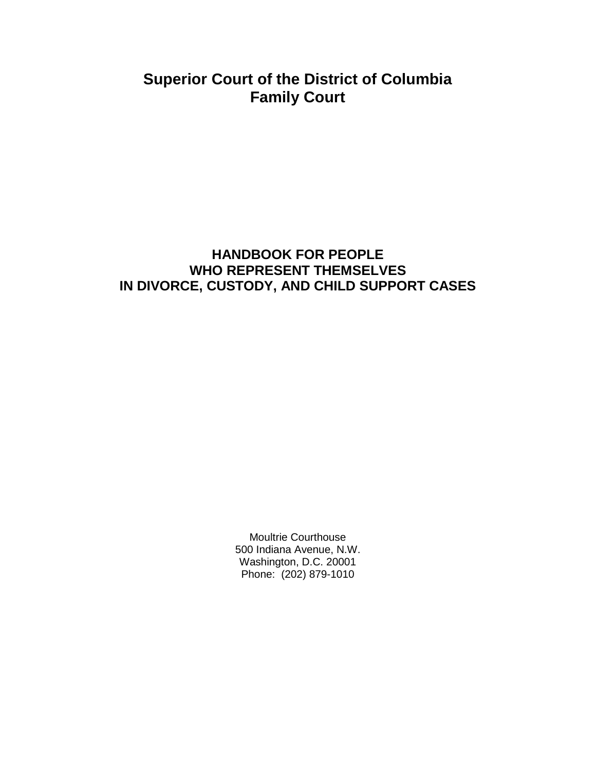# **Superior Court of the District of Columbia Family Court**

# **HANDBOOK FOR PEOPLE WHO REPRESENT THEMSELVES IN DIVORCE, CUSTODY, AND CHILD SUPPORT CASES**

Moultrie Courthouse 500 Indiana Avenue, N.W. Washington, D.C. 20001 Phone: (202) 879-1010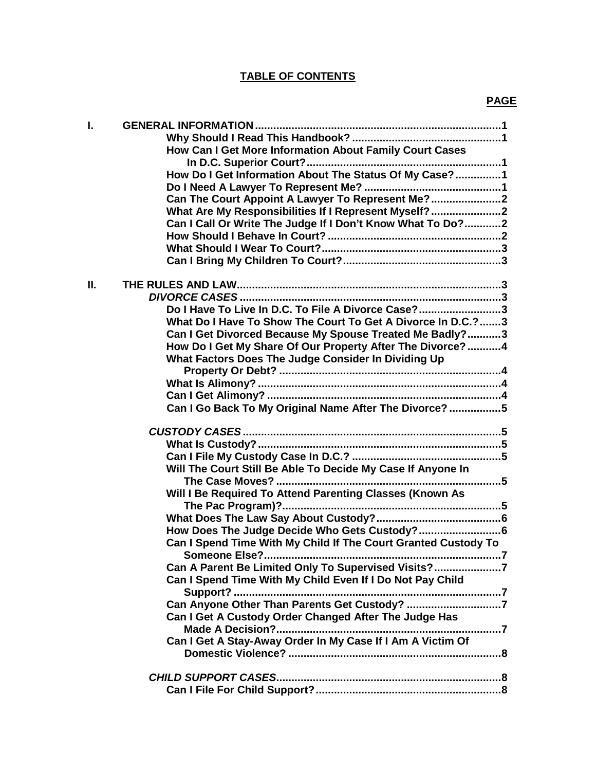# **TABLE OF CONTENTS**

| I. | How Can I Get More Information About Family Court Cases        |
|----|----------------------------------------------------------------|
|    | How Do I Get Information About The Status Of My Case?1         |
|    | Can The Court Appoint A Lawyer To Represent Me?2               |
|    | What Are My Responsibilities If I Represent Myself?2           |
|    | Can I Call Or Write The Judge If I Don't Know What To Do?2     |
|    |                                                                |
|    |                                                                |
|    |                                                                |
| П. |                                                                |
|    |                                                                |
|    | Do I Have To Live In D.C. To File A Divorce Case?3             |
|    | What Do I Have To Show The Court To Get A Divorce In D.C.?3    |
|    | Can I Get Divorced Because My Spouse Treated Me Badly?3        |
|    | How Do I Get My Share Of Our Property After The Divorce?4      |
|    | What Factors Does The Judge Consider In Dividing Up            |
|    |                                                                |
|    |                                                                |
|    |                                                                |
|    | Can I Go Back To My Original Name After The Divorce? 5         |
|    |                                                                |
|    |                                                                |
|    |                                                                |
|    |                                                                |
|    | Will The Court Still Be Able To Decide My Case If Anyone In    |
|    |                                                                |
|    | Will I Be Required To Attend Parenting Classes (Known As       |
|    |                                                                |
|    |                                                                |
|    |                                                                |
|    | Can I Spend Time With My Child If The Court Granted Custody To |
|    |                                                                |
|    | Can A Parent Be Limited Only To Supervised Visits?7            |
|    | Can I Spend Time With My Child Even If I Do Not Pay Child      |
|    |                                                                |
|    | Can Anyone Other Than Parents Get Custody? 7                   |
|    | Can I Get A Custody Order Changed After The Judge Has          |
|    |                                                                |
|    | Can I Get A Stay-Away Order In My Case If I Am A Victim Of     |
|    |                                                                |
|    |                                                                |
|    |                                                                |
|    |                                                                |
|    |                                                                |

# **PAGE**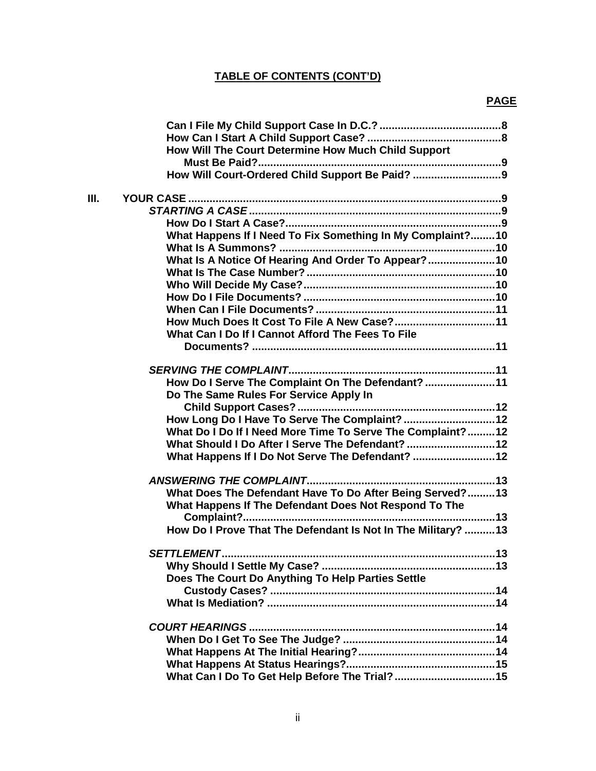# **TABLE OF CONTENTS (CONT'D)**

# **PAGE**

| How Will The Court Determine How Much Child Support<br>How Will Court-Ordered Child Support Be Paid?  9<br>What Happens If I Need To Fix Something In My Complaint?10<br>What Is A Notice Of Hearing And Order To Appear?10<br>How Much Does It Cost To File A New Case?11<br>What Can I Do If I Cannot Afford The Fees To File<br>How Do I Serve The Complaint On The Defendant? 11<br>Do The Same Rules For Service Apply In<br>How Long Do I Have To Serve The Complaint?  12<br>What Do I Do If I Need More Time To Serve The Complaint? 12<br>What Should I Do After I Serve The Defendant?  12<br>What Happens If I Do Not Serve The Defendant?  12<br>What Does The Defendant Have To Do After Being Served?13<br>What Happens If The Defendant Does Not Respond To The<br>How Do I Prove That The Defendant Is Not In The Military?  13<br>Does The Court Do Anything To Help Parties Settle |    |  |
|------------------------------------------------------------------------------------------------------------------------------------------------------------------------------------------------------------------------------------------------------------------------------------------------------------------------------------------------------------------------------------------------------------------------------------------------------------------------------------------------------------------------------------------------------------------------------------------------------------------------------------------------------------------------------------------------------------------------------------------------------------------------------------------------------------------------------------------------------------------------------------------------------|----|--|
|                                                                                                                                                                                                                                                                                                                                                                                                                                                                                                                                                                                                                                                                                                                                                                                                                                                                                                      |    |  |
|                                                                                                                                                                                                                                                                                                                                                                                                                                                                                                                                                                                                                                                                                                                                                                                                                                                                                                      |    |  |
|                                                                                                                                                                                                                                                                                                                                                                                                                                                                                                                                                                                                                                                                                                                                                                                                                                                                                                      |    |  |
|                                                                                                                                                                                                                                                                                                                                                                                                                                                                                                                                                                                                                                                                                                                                                                                                                                                                                                      |    |  |
|                                                                                                                                                                                                                                                                                                                                                                                                                                                                                                                                                                                                                                                                                                                                                                                                                                                                                                      |    |  |
|                                                                                                                                                                                                                                                                                                                                                                                                                                                                                                                                                                                                                                                                                                                                                                                                                                                                                                      | Ш. |  |
|                                                                                                                                                                                                                                                                                                                                                                                                                                                                                                                                                                                                                                                                                                                                                                                                                                                                                                      |    |  |
|                                                                                                                                                                                                                                                                                                                                                                                                                                                                                                                                                                                                                                                                                                                                                                                                                                                                                                      |    |  |
|                                                                                                                                                                                                                                                                                                                                                                                                                                                                                                                                                                                                                                                                                                                                                                                                                                                                                                      |    |  |
|                                                                                                                                                                                                                                                                                                                                                                                                                                                                                                                                                                                                                                                                                                                                                                                                                                                                                                      |    |  |
|                                                                                                                                                                                                                                                                                                                                                                                                                                                                                                                                                                                                                                                                                                                                                                                                                                                                                                      |    |  |
|                                                                                                                                                                                                                                                                                                                                                                                                                                                                                                                                                                                                                                                                                                                                                                                                                                                                                                      |    |  |
|                                                                                                                                                                                                                                                                                                                                                                                                                                                                                                                                                                                                                                                                                                                                                                                                                                                                                                      |    |  |
|                                                                                                                                                                                                                                                                                                                                                                                                                                                                                                                                                                                                                                                                                                                                                                                                                                                                                                      |    |  |
|                                                                                                                                                                                                                                                                                                                                                                                                                                                                                                                                                                                                                                                                                                                                                                                                                                                                                                      |    |  |
|                                                                                                                                                                                                                                                                                                                                                                                                                                                                                                                                                                                                                                                                                                                                                                                                                                                                                                      |    |  |
|                                                                                                                                                                                                                                                                                                                                                                                                                                                                                                                                                                                                                                                                                                                                                                                                                                                                                                      |    |  |
|                                                                                                                                                                                                                                                                                                                                                                                                                                                                                                                                                                                                                                                                                                                                                                                                                                                                                                      |    |  |
|                                                                                                                                                                                                                                                                                                                                                                                                                                                                                                                                                                                                                                                                                                                                                                                                                                                                                                      |    |  |
|                                                                                                                                                                                                                                                                                                                                                                                                                                                                                                                                                                                                                                                                                                                                                                                                                                                                                                      |    |  |
|                                                                                                                                                                                                                                                                                                                                                                                                                                                                                                                                                                                                                                                                                                                                                                                                                                                                                                      |    |  |
|                                                                                                                                                                                                                                                                                                                                                                                                                                                                                                                                                                                                                                                                                                                                                                                                                                                                                                      |    |  |
|                                                                                                                                                                                                                                                                                                                                                                                                                                                                                                                                                                                                                                                                                                                                                                                                                                                                                                      |    |  |
|                                                                                                                                                                                                                                                                                                                                                                                                                                                                                                                                                                                                                                                                                                                                                                                                                                                                                                      |    |  |
|                                                                                                                                                                                                                                                                                                                                                                                                                                                                                                                                                                                                                                                                                                                                                                                                                                                                                                      |    |  |
|                                                                                                                                                                                                                                                                                                                                                                                                                                                                                                                                                                                                                                                                                                                                                                                                                                                                                                      |    |  |
|                                                                                                                                                                                                                                                                                                                                                                                                                                                                                                                                                                                                                                                                                                                                                                                                                                                                                                      |    |  |
|                                                                                                                                                                                                                                                                                                                                                                                                                                                                                                                                                                                                                                                                                                                                                                                                                                                                                                      |    |  |
|                                                                                                                                                                                                                                                                                                                                                                                                                                                                                                                                                                                                                                                                                                                                                                                                                                                                                                      |    |  |
|                                                                                                                                                                                                                                                                                                                                                                                                                                                                                                                                                                                                                                                                                                                                                                                                                                                                                                      |    |  |
|                                                                                                                                                                                                                                                                                                                                                                                                                                                                                                                                                                                                                                                                                                                                                                                                                                                                                                      |    |  |
|                                                                                                                                                                                                                                                                                                                                                                                                                                                                                                                                                                                                                                                                                                                                                                                                                                                                                                      |    |  |
|                                                                                                                                                                                                                                                                                                                                                                                                                                                                                                                                                                                                                                                                                                                                                                                                                                                                                                      |    |  |
|                                                                                                                                                                                                                                                                                                                                                                                                                                                                                                                                                                                                                                                                                                                                                                                                                                                                                                      |    |  |
|                                                                                                                                                                                                                                                                                                                                                                                                                                                                                                                                                                                                                                                                                                                                                                                                                                                                                                      |    |  |
|                                                                                                                                                                                                                                                                                                                                                                                                                                                                                                                                                                                                                                                                                                                                                                                                                                                                                                      |    |  |
|                                                                                                                                                                                                                                                                                                                                                                                                                                                                                                                                                                                                                                                                                                                                                                                                                                                                                                      |    |  |
|                                                                                                                                                                                                                                                                                                                                                                                                                                                                                                                                                                                                                                                                                                                                                                                                                                                                                                      |    |  |
|                                                                                                                                                                                                                                                                                                                                                                                                                                                                                                                                                                                                                                                                                                                                                                                                                                                                                                      |    |  |
|                                                                                                                                                                                                                                                                                                                                                                                                                                                                                                                                                                                                                                                                                                                                                                                                                                                                                                      |    |  |
|                                                                                                                                                                                                                                                                                                                                                                                                                                                                                                                                                                                                                                                                                                                                                                                                                                                                                                      |    |  |
|                                                                                                                                                                                                                                                                                                                                                                                                                                                                                                                                                                                                                                                                                                                                                                                                                                                                                                      |    |  |
|                                                                                                                                                                                                                                                                                                                                                                                                                                                                                                                                                                                                                                                                                                                                                                                                                                                                                                      |    |  |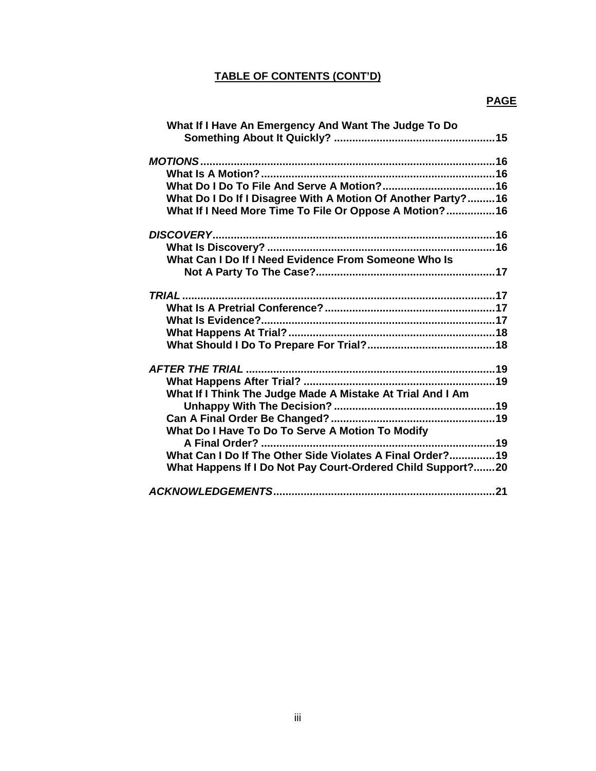# **TABLE OF CONTENTS (CONT'D)**

# **PAGE**

| What If I Have An Emergency And Want The Judge To Do          |  |
|---------------------------------------------------------------|--|
|                                                               |  |
|                                                               |  |
|                                                               |  |
| What Do I Do If I Disagree With A Motion Of Another Party? 16 |  |
| What If I Need More Time To File Or Oppose A Motion? 16       |  |
|                                                               |  |
| <b>DISCOVERY</b>                                              |  |
|                                                               |  |
| What Can I Do If I Need Evidence From Someone Who Is          |  |
|                                                               |  |
|                                                               |  |
| <b>TRIAL</b>                                                  |  |
|                                                               |  |
|                                                               |  |
|                                                               |  |
|                                                               |  |
|                                                               |  |
|                                                               |  |
| What If I Think The Judge Made A Mistake At Trial And I Am    |  |
|                                                               |  |
|                                                               |  |
| What Do I Have To Do To Serve A Motion To Modify              |  |
|                                                               |  |
| What Can I Do If The Other Side Violates A Final Order?19     |  |
| What Happens If I Do Not Pay Court-Ordered Child Support?20   |  |
|                                                               |  |
|                                                               |  |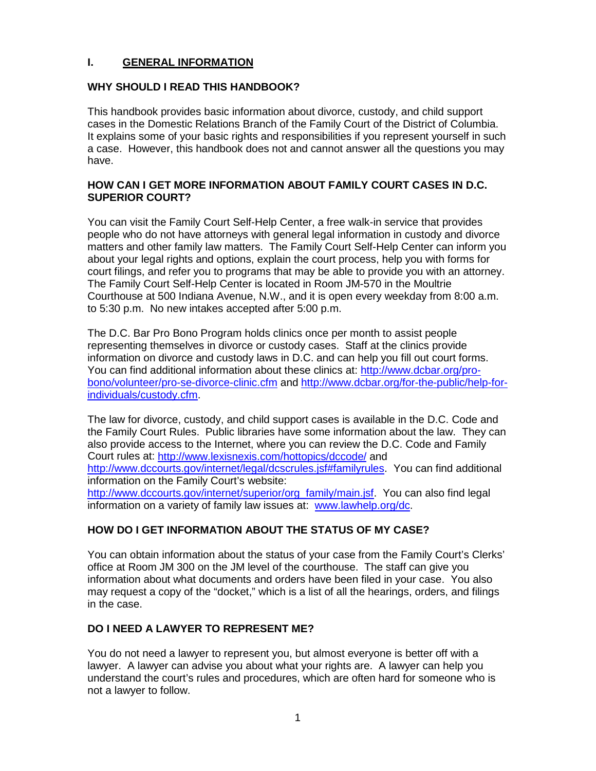#### **I. GENERAL INFORMATION**

#### **WHY SHOULD I READ THIS HANDBOOK?**

This handbook provides basic information about divorce, custody, and child support cases in the Domestic Relations Branch of the Family Court of the District of Columbia. It explains some of your basic rights and responsibilities if you represent yourself in such a case. However, this handbook does not and cannot answer all the questions you may have.

#### **HOW CAN I GET MORE INFORMATION ABOUT FAMILY COURT CASES IN D.C. SUPERIOR COURT?**

You can visit the Family Court Self-Help Center, a free walk-in service that provides people who do not have attorneys with general legal information in custody and divorce matters and other family law matters. The Family Court Self-Help Center can inform you about your legal rights and options, explain the court process, help you with forms for court filings, and refer you to programs that may be able to provide you with an attorney. The Family Court Self-Help Center is located in Room JM-570 in the Moultrie Courthouse at 500 Indiana Avenue, N.W., and it is open every weekday from 8:00 a.m. to 5:30 p.m. No new intakes accepted after 5:00 p.m.

The D.C. Bar Pro Bono Program holds clinics once per month to assist people representing themselves in divorce or custody cases. Staff at the clinics provide information on divorce and custody laws in D.C. and can help you fill out court forms. You can find additional information about these clinics at: [http://www.dcbar.org/pro](http://www.dcbar.org/pro-bono/volunteer/pro-se-divorce-clinic.cfm)[bono/volunteer/pro-se-divorce-clinic.cfm](http://www.dcbar.org/pro-bono/volunteer/pro-se-divorce-clinic.cfm) and [http://www.dcbar.org/for-the-public/help-for](http://www.dcbar.org/for-the-public/help-for-individuals/custody.cfm)[individuals/custody.cfm.](http://www.dcbar.org/for-the-public/help-for-individuals/custody.cfm)

The law for divorce, custody, and child support cases is available in the D.C. Code and the Family Court Rules. Public libraries have some information about the law. They can also provide access to the Internet, where you can review the D.C. Code and Family Court rules at: <http://www.lexisnexis.com/hottopics/dccode/> and [http://www.dccourts.gov/internet/legal/dcscrules.jsf#familyrules.](http://www.dccourts.gov/internet/legal/dcscrules.jsf#familyrules) You can find additional information on the Family Court's website: [http://www.dccourts.gov/internet/superior/org\\_family/main.jsf.](http://www.dccourts.gov/internet/superior/org_family/main.jsf) You can also find legal information on a variety of family law issues at: [www.lawhelp.org/dc.](http://www.lawhelp.org/dc)

### **HOW DO I GET INFORMATION ABOUT THE STATUS OF MY CASE?**

You can obtain information about the status of your case from the Family Court's Clerks' office at Room JM 300 on the JM level of the courthouse. The staff can give you information about what documents and orders have been filed in your case. You also may request a copy of the "docket," which is a list of all the hearings, orders, and filings in the case.

### **DO I NEED A LAWYER TO REPRESENT ME?**

You do not need a lawyer to represent you, but almost everyone is better off with a lawyer. A lawyer can advise you about what your rights are. A lawyer can help you understand the court's rules and procedures, which are often hard for someone who is not a lawyer to follow.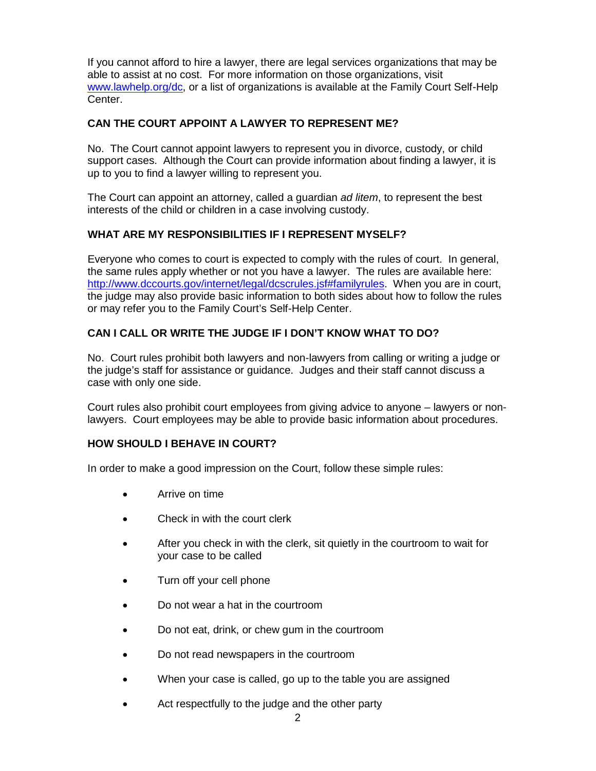If you cannot afford to hire a lawyer, there are legal services organizations that may be able to assist at no cost. For more information on those organizations, visit [www.lawhelp.org/dc,](http://www.lawhelp.org/dc) or a list of organizations is available at the Family Court Self-Help Center.

### **CAN THE COURT APPOINT A LAWYER TO REPRESENT ME?**

No. The Court cannot appoint lawyers to represent you in divorce, custody, or child support cases. Although the Court can provide information about finding a lawyer, it is up to you to find a lawyer willing to represent you.

The Court can appoint an attorney, called a guardian *ad litem*, to represent the best interests of the child or children in a case involving custody.

### **WHAT ARE MY RESPONSIBILITIES IF I REPRESENT MYSELF?**

Everyone who comes to court is expected to comply with the rules of court. In general, the same rules apply whether or not you have a lawyer. The rules are available here: [http://www.dccourts.gov/internet/legal/dcscrules.jsf#familyrules.](http://www.dccourts.gov/internet/legal/dcscrules.jsf#familyrules) When you are in court, the judge may also provide basic information to both sides about how to follow the rules or may refer you to the Family Court's Self-Help Center.

### **CAN I CALL OR WRITE THE JUDGE IF I DON'T KNOW WHAT TO DO?**

No. Court rules prohibit both lawyers and non-lawyers from calling or writing a judge or the judge's staff for assistance or guidance. Judges and their staff cannot discuss a case with only one side.

Court rules also prohibit court employees from giving advice to anyone – lawyers or nonlawyers. Court employees may be able to provide basic information about procedures.

### **HOW SHOULD I BEHAVE IN COURT?**

In order to make a good impression on the Court, follow these simple rules:

- Arrive on time
- Check in with the court clerk
- After you check in with the clerk, sit quietly in the courtroom to wait for your case to be called
- Turn off your cell phone
- Do not wear a hat in the courtroom
- Do not eat, drink, or chew gum in the courtroom
- Do not read newspapers in the courtroom
- When your case is called, go up to the table you are assigned
- Act respectfully to the judge and the other party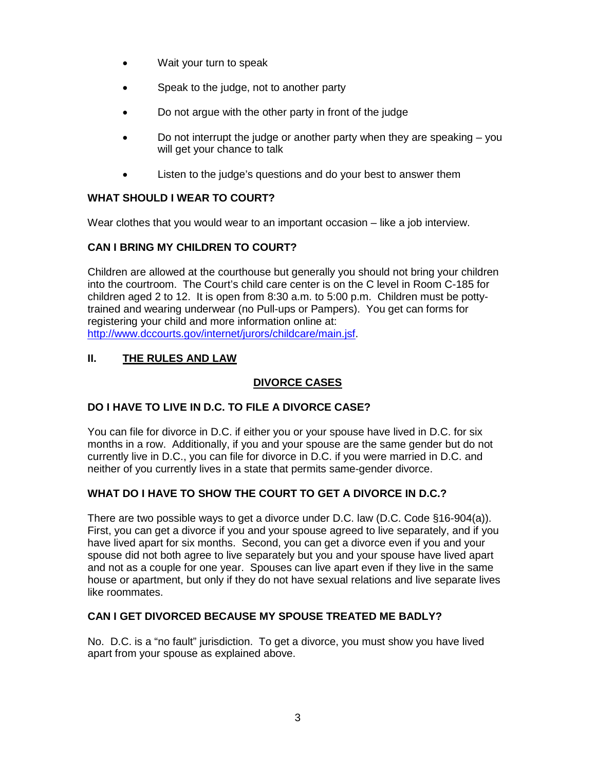- Wait your turn to speak
- Speak to the judge, not to another party
- Do not argue with the other party in front of the judge
- Do not interrupt the judge or another party when they are speaking  $-$  you will get your chance to talk
- Listen to the judge's questions and do your best to answer them

# **WHAT SHOULD I WEAR TO COURT?**

Wear clothes that you would wear to an important occasion – like a job interview.

# **CAN I BRING MY CHILDREN TO COURT?**

Children are allowed at the courthouse but generally you should not bring your children into the courtroom. The Court's child care center is on the C level in Room C-185 for children aged 2 to 12. It is open from 8:30 a.m. to 5:00 p.m. Children must be pottytrained and wearing underwear (no Pull-ups or Pampers). You get can forms for registering your child and more information online at: [http://www.dccourts.gov/internet/jurors/childcare/main.jsf.](http://www.dccourts.gov/internet/jurors/childcare/main.jsf)

# **II. THE RULES AND LAW**

# **DIVORCE CASES**

# **DO I HAVE TO LIVE IN D.C. TO FILE A DIVORCE CASE?**

You can file for divorce in D.C. if either you or your spouse have lived in D.C. for six months in a row. Additionally, if you and your spouse are the same gender but do not currently live in D.C., you can file for divorce in D.C. if you were married in D.C. and neither of you currently lives in a state that permits same-gender divorce.

# **WHAT DO I HAVE TO SHOW THE COURT TO GET A DIVORCE IN D.C.?**

There are two possible ways to get a divorce under D.C. law (D.C. Code §16-904(a)). First, you can get a divorce if you and your spouse agreed to live separately, and if you have lived apart for six months. Second, you can get a divorce even if you and your spouse did not both agree to live separately but you and your spouse have lived apart and not as a couple for one year. Spouses can live apart even if they live in the same house or apartment, but only if they do not have sexual relations and live separate lives like roommates.

### **CAN I GET DIVORCED BECAUSE MY SPOUSE TREATED ME BADLY?**

No. D.C. is a "no fault" jurisdiction. To get a divorce, you must show you have lived apart from your spouse as explained above.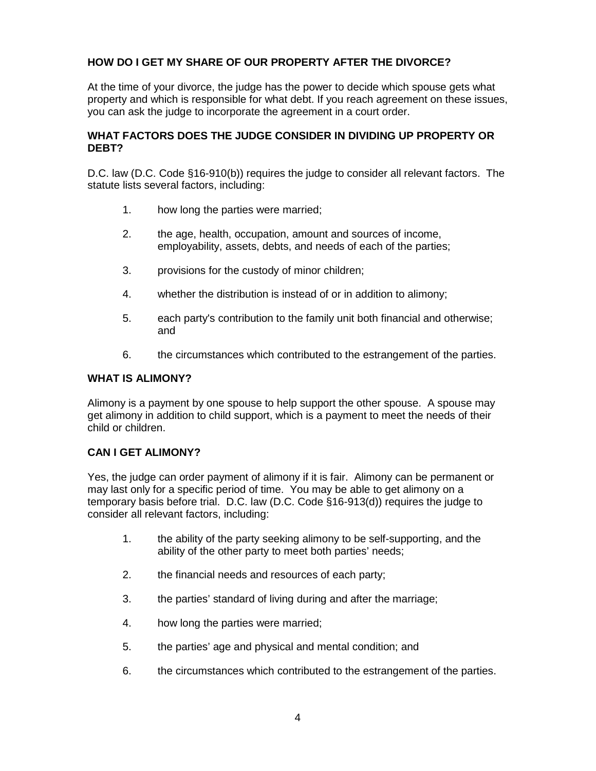### **HOW DO I GET MY SHARE OF OUR PROPERTY AFTER THE DIVORCE?**

At the time of your divorce, the judge has the power to decide which spouse gets what property and which is responsible for what debt. If you reach agreement on these issues, you can ask the judge to incorporate the agreement in a court order.

#### **WHAT FACTORS DOES THE JUDGE CONSIDER IN DIVIDING UP PROPERTY OR DEBT?**

D.C. law (D.C. Code §16-910(b)) requires the judge to consider all relevant factors. The statute lists several factors, including:

- 1. how long the parties were married;
- 2. the age, health, occupation, amount and sources of income, employability, assets, debts, and needs of each of the parties;
- 3. provisions for the custody of minor children;
- 4. whether the distribution is instead of or in addition to alimony;
- 5. each party's contribution to the family unit both financial and otherwise; and
- 6. the circumstances which contributed to the estrangement of the parties.

#### **WHAT IS ALIMONY?**

Alimony is a payment by one spouse to help support the other spouse. A spouse may get alimony in addition to child support, which is a payment to meet the needs of their child or children.

#### **CAN I GET ALIMONY?**

Yes, the judge can order payment of alimony if it is fair. Alimony can be permanent or may last only for a specific period of time. You may be able to get alimony on a temporary basis before trial. D.C. law (D.C. Code §16-913(d)) requires the judge to consider all relevant factors, including:

- 1. the ability of the party seeking alimony to be self-supporting, and the ability of the other party to meet both parties' needs;
- 2. the financial needs and resources of each party;
- 3. the parties' standard of living during and after the marriage;
- 4. how long the parties were married;
- 5. the parties' age and physical and mental condition; and
- 6. the circumstances which contributed to the estrangement of the parties.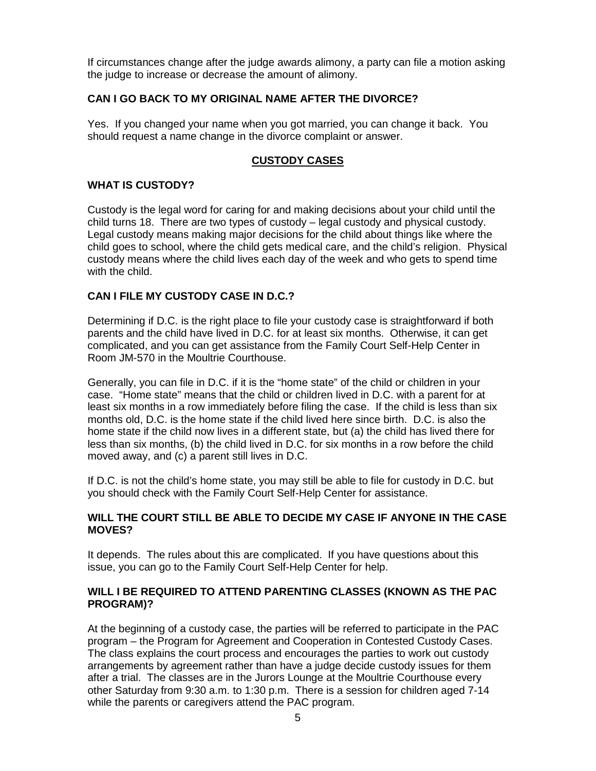If circumstances change after the judge awards alimony, a party can file a motion asking the judge to increase or decrease the amount of alimony.

### **CAN I GO BACK TO MY ORIGINAL NAME AFTER THE DIVORCE?**

Yes. If you changed your name when you got married, you can change it back. You should request a name change in the divorce complaint or answer.

### **CUSTODY CASES**

### **WHAT IS CUSTODY?**

Custody is the legal word for caring for and making decisions about your child until the child turns 18. There are two types of custody – legal custody and physical custody. Legal custody means making major decisions for the child about things like where the child goes to school, where the child gets medical care, and the child's religion. Physical custody means where the child lives each day of the week and who gets to spend time with the child.

### **CAN I FILE MY CUSTODY CASE IN D.C.?**

Determining if D.C. is the right place to file your custody case is straightforward if both parents and the child have lived in D.C. for at least six months. Otherwise, it can get complicated, and you can get assistance from the Family Court Self-Help Center in Room JM-570 in the Moultrie Courthouse.

Generally, you can file in D.C. if it is the "home state" of the child or children in your case. "Home state" means that the child or children lived in D.C. with a parent for at least six months in a row immediately before filing the case. If the child is less than six months old, D.C. is the home state if the child lived here since birth. D.C. is also the home state if the child now lives in a different state, but (a) the child has lived there for less than six months, (b) the child lived in D.C. for six months in a row before the child moved away, and (c) a parent still lives in D.C.

If D.C. is not the child's home state, you may still be able to file for custody in D.C. but you should check with the Family Court Self-Help Center for assistance.

#### **WILL THE COURT STILL BE ABLE TO DECIDE MY CASE IF ANYONE IN THE CASE MOVES?**

It depends. The rules about this are complicated. If you have questions about this issue, you can go to the Family Court Self-Help Center for help.

### **WILL I BE REQUIRED TO ATTEND PARENTING CLASSES (KNOWN AS THE PAC PROGRAM)?**

At the beginning of a custody case, the parties will be referred to participate in the PAC program – the Program for Agreement and Cooperation in Contested Custody Cases. The class explains the court process and encourages the parties to work out custody arrangements by agreement rather than have a judge decide custody issues for them after a trial. The classes are in the Jurors Lounge at the Moultrie Courthouse every other Saturday from 9:30 a.m. to 1:30 p.m. There is a session for children aged 7-14 while the parents or caregivers attend the PAC program.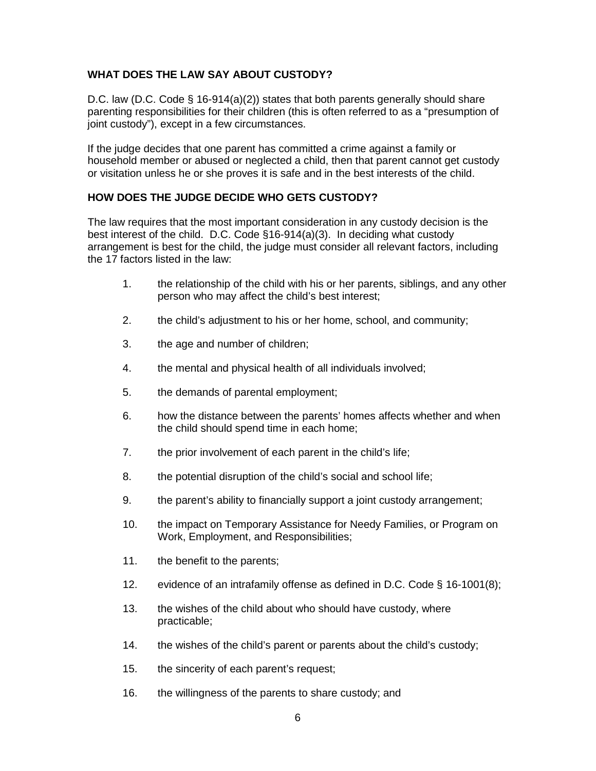### **WHAT DOES THE LAW SAY ABOUT CUSTODY?**

D.C. law (D.C. Code § 16-914(a)(2)) states that both parents generally should share parenting responsibilities for their children (this is often referred to as a "presumption of joint custody"), except in a few circumstances.

If the judge decides that one parent has committed a crime against a family or household member or abused or neglected a child, then that parent cannot get custody or visitation unless he or she proves it is safe and in the best interests of the child.

### **HOW DOES THE JUDGE DECIDE WHO GETS CUSTODY?**

The law requires that the most important consideration in any custody decision is the best interest of the child. D.C. Code §16-914(a)(3). In deciding what custody arrangement is best for the child, the judge must consider all relevant factors, including the 17 factors listed in the law:

- 1. the relationship of the child with his or her parents, siblings, and any other person who may affect the child's best interest;
- 2. the child's adjustment to his or her home, school, and community;
- 3. the age and number of children;
- 4. the mental and physical health of all individuals involved;
- 5. the demands of parental employment;
- 6. how the distance between the parents' homes affects whether and when the child should spend time in each home;
- 7. the prior involvement of each parent in the child's life;
- 8. the potential disruption of the child's social and school life;
- 9. the parent's ability to financially support a joint custody arrangement;
- 10. the impact on Temporary Assistance for Needy Families, or Program on Work, Employment, and Responsibilities;
- 11. the benefit to the parents;
- 12. evidence of an intrafamily offense as defined in D.C. Code § 16-1001(8);
- 13. the wishes of the child about who should have custody, where practicable;
- 14. the wishes of the child's parent or parents about the child's custody;
- 15. the sincerity of each parent's request;
- 16. the willingness of the parents to share custody; and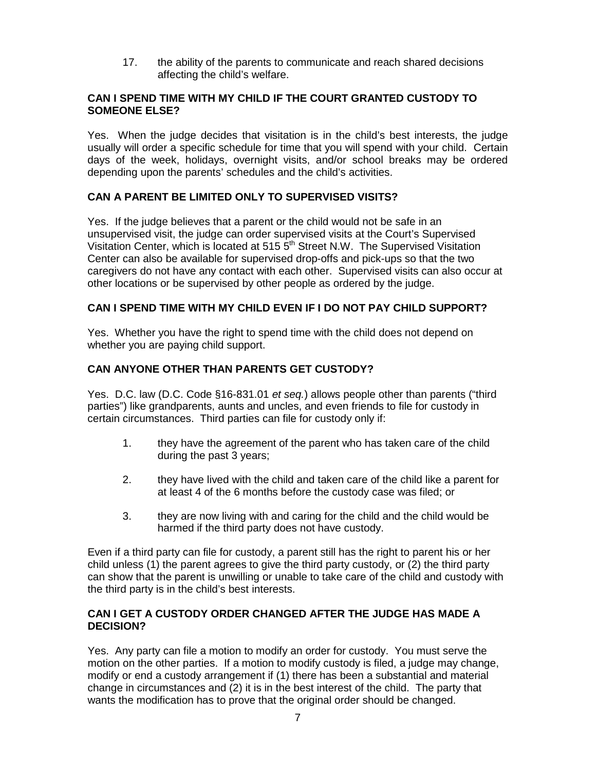17. the ability of the parents to communicate and reach shared decisions affecting the child's welfare.

#### **CAN I SPEND TIME WITH MY CHILD IF THE COURT GRANTED CUSTODY TO SOMEONE ELSE?**

Yes. When the judge decides that visitation is in the child's best interests, the judge usually will order a specific schedule for time that you will spend with your child. Certain days of the week, holidays, overnight visits, and/or school breaks may be ordered depending upon the parents' schedules and the child's activities.

### **CAN A PARENT BE LIMITED ONLY TO SUPERVISED VISITS?**

Yes. If the judge believes that a parent or the child would not be safe in an unsupervised visit, the judge can order supervised visits at the Court's Supervised Visitation Center, which is located at 515 5<sup>th</sup> Street N.W. The Supervised Visitation Center can also be available for supervised drop-offs and pick-ups so that the two caregivers do not have any contact with each other. Supervised visits can also occur at other locations or be supervised by other people as ordered by the judge.

### **CAN I SPEND TIME WITH MY CHILD EVEN IF I DO NOT PAY CHILD SUPPORT?**

Yes. Whether you have the right to spend time with the child does not depend on whether you are paying child support.

### **CAN ANYONE OTHER THAN PARENTS GET CUSTODY?**

Yes. D.C. law (D.C. Code §16-831.01 *et seq.*) allows people other than parents ("third parties") like grandparents, aunts and uncles, and even friends to file for custody in certain circumstances. Third parties can file for custody only if:

- 1. they have the agreement of the parent who has taken care of the child during the past 3 years;
- 2. they have lived with the child and taken care of the child like a parent for at least 4 of the 6 months before the custody case was filed; or
- 3. they are now living with and caring for the child and the child would be harmed if the third party does not have custody.

Even if a third party can file for custody, a parent still has the right to parent his or her child unless (1) the parent agrees to give the third party custody, or (2) the third party can show that the parent is unwilling or unable to take care of the child and custody with the third party is in the child's best interests.

### **CAN I GET A CUSTODY ORDER CHANGED AFTER THE JUDGE HAS MADE A DECISION?**

Yes. Any party can file a motion to modify an order for custody. You must serve the motion on the other parties. If a motion to modify custody is filed, a judge may change, modify or end a custody arrangement if (1) there has been a substantial and material change in circumstances and (2) it is in the best interest of the child. The party that wants the modification has to prove that the original order should be changed.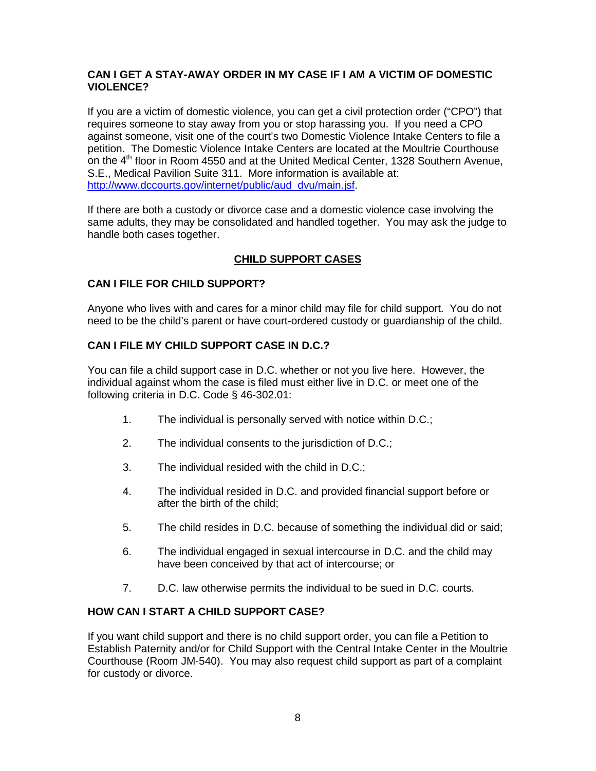### **CAN I GET A STAY-AWAY ORDER IN MY CASE IF I AM A VICTIM OF DOMESTIC VIOLENCE?**

If you are a victim of domestic violence, you can get a civil protection order ("CPO") that requires someone to stay away from you or stop harassing you. If you need a CPO against someone, visit one of the court's two Domestic Violence Intake Centers to file a petition. The Domestic Violence Intake Centers are located at the Moultrie Courthouse on the  $4<sup>th</sup>$  floor in Room 4550 and at the United Medical Center, 1328 Southern Avenue, S.E., Medical Pavilion Suite 311. More information is available at: [http://www.dccourts.gov/internet/public/aud\\_dvu/main.jsf.](http://www.dccourts.gov/internet/public/aud_dvu/main.jsf)

If there are both a custody or divorce case and a domestic violence case involving the same adults, they may be consolidated and handled together. You may ask the judge to handle both cases together.

### **CHILD SUPPORT CASES**

### **CAN I FILE FOR CHILD SUPPORT?**

Anyone who lives with and cares for a minor child may file for child support. You do not need to be the child's parent or have court-ordered custody or guardianship of the child.

### **CAN I FILE MY CHILD SUPPORT CASE IN D.C.?**

You can file a child support case in D.C. whether or not you live here. However, the individual against whom the case is filed must either live in D.C. or meet one of the following criteria in D.C. Code § 46-302.01:

- 1. The individual is personally served with notice within D.C.;
- 2. The individual consents to the jurisdiction of D.C.;
- 3. The individual resided with the child in D.C.;
- 4. The individual resided in D.C. and provided financial support before or after the birth of the child;
- 5. The child resides in D.C. because of something the individual did or said;
- 6. The individual engaged in sexual intercourse in D.C. and the child may have been conceived by that act of intercourse; or
- 7. D.C. law otherwise permits the individual to be sued in D.C. courts.

### **HOW CAN I START A CHILD SUPPORT CASE?**

If you want child support and there is no child support order, you can file a Petition to Establish Paternity and/or for Child Support with the Central Intake Center in the Moultrie Courthouse (Room JM-540). You may also request child support as part of a complaint for custody or divorce.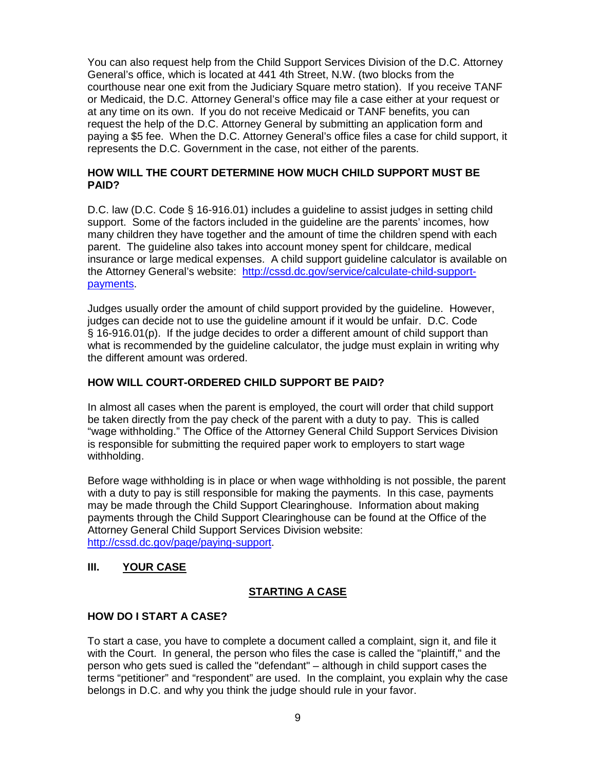You can also request help from the [Child Support Services Division](http://csed.dc.gov/csed/site/default.asp) of the D.C. Attorney General's office, which is located at 441 4th Street, N.W. (two blocks from the courthouse near one exit from the Judiciary Square metro station). If you receive TANF or Medicaid, the D.C. Attorney General's office may file a case either at your request or at any time on its own. If you do not receive Medicaid or TANF benefits, you can request the help of the D.C. Attorney General by submitting an [application form](http://cssd.dc.gov/node/186632) and paying a \$5 fee. When the D.C. Attorney General's office files a case for child support, it represents the D.C. Government in the case, not either of the parents.

### **HOW WILL THE COURT DETERMINE HOW MUCH CHILD SUPPORT MUST BE PAID?**

D.C. law (D.C. Code § 16-916.01) includes a guideline to assist judges in setting child support. Some of the factors included in the guideline are the parents' incomes, how many children they have together and the amount of time the children spend with each parent. The guideline also takes into account money spent for childcare, medical insurance or large medical expenses. A child support guideline calculator is available on the Attorney General's website: [http://cssd.dc.gov/service/calculate-child-support](http://cssd.dc.gov/service/calculate-child-support-payments)[payments.](http://cssd.dc.gov/service/calculate-child-support-payments)

Judges usually order the amount of child support provided by the guideline. However, judges can decide not to use the guideline amount if it would be unfair. D.C. Code § 16-916.01(p). If the judge decides to order a different amount of child support than what is recommended by the guideline calculator, the judge must explain in writing why the different amount was ordered.

### **HOW WILL COURT-ORDERED CHILD SUPPORT BE PAID?**

In almost all cases when the parent is employed, the court will order that child support be taken directly from the pay check of the parent with a duty to pay. This is called "wage withholding." The Office of the Attorney General Child Support Services Division is responsible for submitting the required paper work to employers to start wage withholding.

Before wage withholding is in place or when wage withholding is not possible, the parent with a duty to pay is still responsible for making the payments. In this case, payments may be made through the Child Support Clearinghouse. Information about making payments through the Child Support Clearinghouse can be found at the Office of the Attorney General Child Support Services Division website: [http://cssd.dc.gov/page/paying-support.](http://cssd.dc.gov/page/paying-support)

### **III. YOUR CASE**

### **STARTING A CASE**

### **HOW DO I START A CASE?**

To start a case, you have to complete a document called a complaint, sign it, and file it with the Court. In general, the person who files the case is called the "plaintiff," and the person who gets sued is called the "defendant" – although in child support cases the terms "petitioner" and "respondent" are used. In the complaint, you explain why the case belongs in D.C. and why you think the judge should rule in your favor.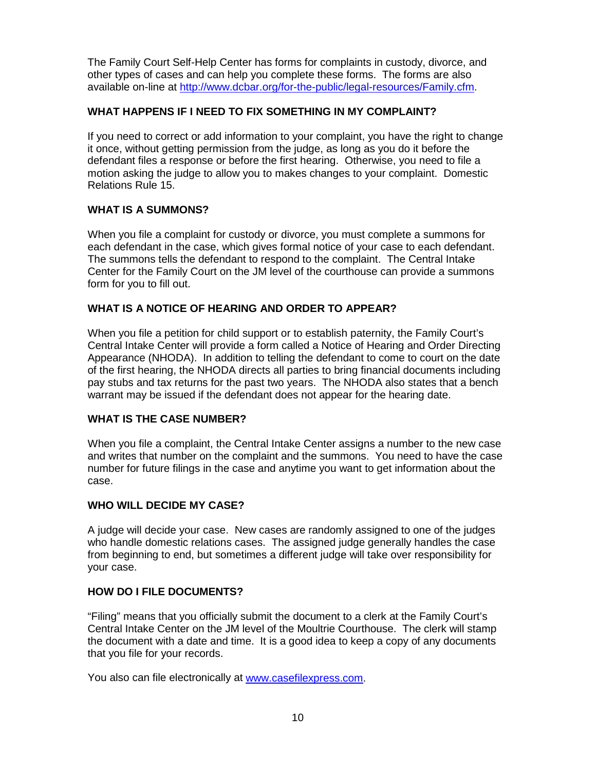The Family Court Self-Help Center has forms for complaints in custody, divorce, and other types of cases and can help you complete these forms. The forms are also available on-line at [http://www.dcbar.org/for-the-public/legal-resources/Family.cfm.](http://www.dcbar.org/for-the-public/legal-resources/Family.cfm)

### **WHAT HAPPENS IF I NEED TO FIX SOMETHING IN MY COMPLAINT?**

If you need to correct or add information to your complaint, you have the right to change it once, without getting permission from the judge, as long as you do it before the defendant files a response or before the first hearing. Otherwise, you need to file a motion asking the judge to allow you to makes changes to your complaint. Domestic Relations Rule 15.

### **WHAT IS A SUMMONS?**

When you file a complaint for custody or divorce, you must complete a summons for each defendant in the case, which gives formal notice of your case to each defendant. The summons tells the defendant to respond to the complaint. The Central Intake Center for the Family Court on the JM level of the courthouse can provide a summons form for you to fill out.

### **WHAT IS A NOTICE OF HEARING AND ORDER TO APPEAR?**

When you file a petition for child support or to establish paternity, the Family Court's Central Intake Center will provide a form called a Notice of Hearing and Order Directing Appearance (NHODA). In addition to telling the defendant to come to court on the date of the first hearing, the NHODA directs all parties to bring financial documents including pay stubs and tax returns for the past two years. The NHODA also states that a bench warrant may be issued if the defendant does not appear for the hearing date.

### **WHAT IS THE CASE NUMBER?**

When you file a complaint, the Central Intake Center assigns a number to the new case and writes that number on the complaint and the summons. You need to have the case number for future filings in the case and anytime you want to get information about the case.

### **WHO WILL DECIDE MY CASE?**

A judge will decide your case. New cases are randomly assigned to one of the judges who handle domestic relations cases. The assigned judge generally handles the case from beginning to end, but sometimes a different judge will take over responsibility for your case.

### **HOW DO I FILE DOCUMENTS?**

"Filing" means that you officially submit the document to a clerk at the Family Court's Central Intake Center on the JM level of the Moultrie Courthouse. The clerk will stamp the document with a date and time. It is a good idea to keep a copy of any documents that you file for your records.

You also can file electronically at [www.casefilexpress.com.](http://www.casefilexpress.com/)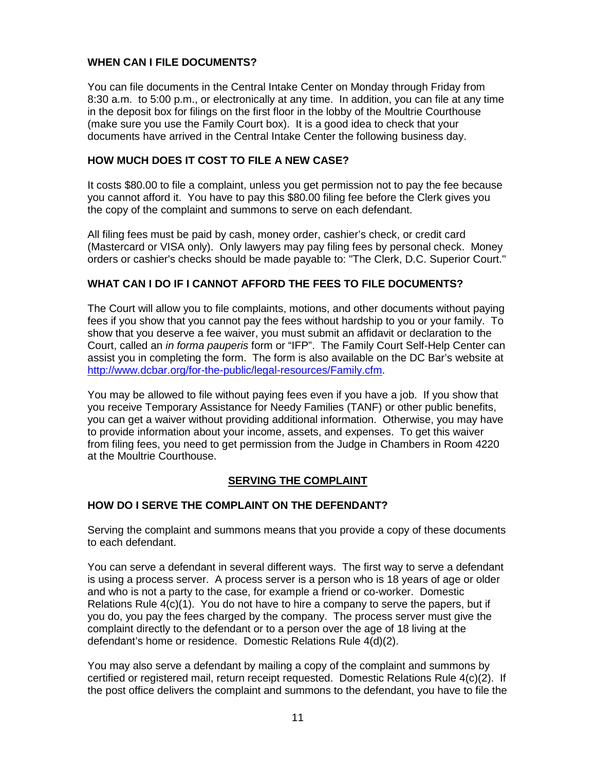### **WHEN CAN I FILE DOCUMENTS?**

You can file documents in the Central Intake Center on Monday through Friday from 8:30 a.m. to 5:00 p.m., or electronically at any time. In addition, you can file at any time in the deposit box for filings on the first floor in the lobby of the Moultrie Courthouse (make sure you use the Family Court box). It is a good idea to check that your documents have arrived in the Central Intake Center the following business day.

### **HOW MUCH DOES IT COST TO FILE A NEW CASE?**

It costs \$80.00 to file a complaint, unless you get permission not to pay the fee because you cannot afford it. You have to pay this \$80.00 filing fee before the Clerk gives you the copy of the complaint and summons to serve on each defendant.

All filing fees must be paid by cash, money order, cashier's check, or credit card (Mastercard or VISA only). Only lawyers may pay filing fees by personal check. Money orders or cashier's checks should be made payable to: "The Clerk, D.C. Superior Court."

### **WHAT CAN I DO IF I CANNOT AFFORD THE FEES TO FILE DOCUMENTS?**

The Court will allow you to file complaints, motions, and other documents without paying fees if you show that you cannot pay the fees without hardship to you or your family. To show that you deserve a fee waiver, you must submit an affidavit or declaration to the Court, called an *in forma pauperis* form or "IFP". The Family Court Self-Help Center can assist you in completing the form. The form is also available on the DC Bar's website at [http://www.dcbar.org/for-the-public/legal-resources/Family.cfm.](http://www.dcbar.org/for-the-public/legal-resources/Family.cfm)

You may be allowed to file without paying fees even if you have a job. If you show that you receive Temporary Assistance for Needy Families (TANF) or other public benefits, you can get a waiver without providing additional information. Otherwise, you may have to provide information about your income, assets, and expenses. To get this waiver from filing fees, you need to get permission from the Judge in Chambers in Room 4220 at the Moultrie Courthouse.

### **SERVING THE COMPLAINT**

### **HOW DO I SERVE THE COMPLAINT ON THE DEFENDANT?**

Serving the complaint and summons means that you provide a copy of these documents to each defendant.

You can serve a defendant in several different ways. The first way to serve a defendant is using a process server. A process server is a person who is 18 years of age or older and who is not a party to the case, for example a friend or co-worker. Domestic Relations Rule 4(c)(1). You do not have to hire a company to serve the papers, but if you do, you pay the fees charged by the company. The process server must give the complaint directly to the defendant or to a person over the age of 18 living at the defendant's home or residence. Domestic Relations Rule 4(d)(2).

You may also serve a defendant by mailing a copy of the complaint and summons by certified or registered mail, return receipt requested. Domestic Relations Rule 4(c)(2). If the post office delivers the complaint and summons to the defendant, you have to file the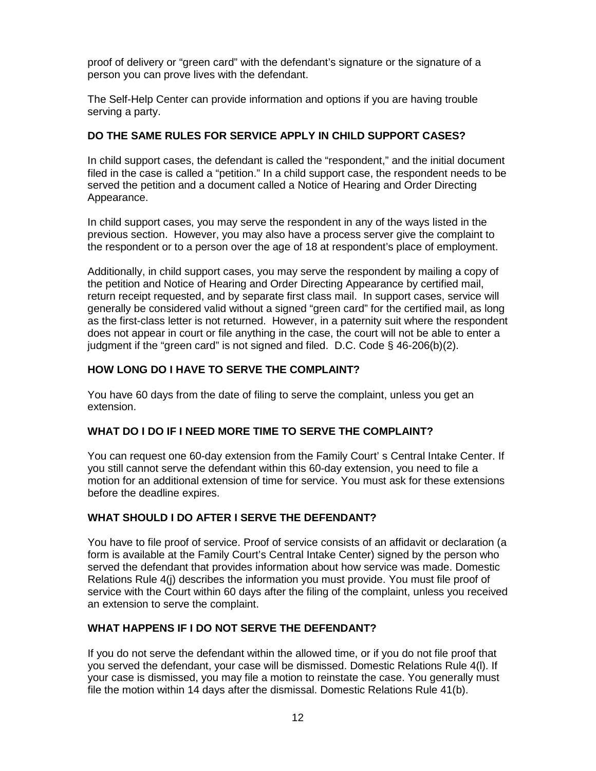proof of delivery or "green card" with the defendant's signature or the signature of a person you can prove lives with the defendant.

The Self-Help Center can provide information and options if you are having trouble serving a party.

### **DO THE SAME RULES FOR SERVICE APPLY IN CHILD SUPPORT CASES?**

In child support cases, the defendant is called the "respondent," and the initial document filed in the case is called a "petition." In a child support case, the respondent needs to be served the petition and a document called a Notice of Hearing and Order Directing Appearance.

In child support cases, you may serve the respondent in any of the ways listed in the previous section. However, you may also have a process server give the complaint to the respondent or to a person over the age of 18 at respondent's place of employment.

Additionally, in child support cases, you may serve the respondent by mailing a copy of the petition and Notice of Hearing and Order Directing Appearance by certified mail, return receipt requested, and by separate first class mail. In support cases, service will generally be considered valid without a signed "green card" for the certified mail, as long as the first-class letter is not returned. However, in a paternity suit where the respondent does not appear in court or file anything in the case, the court will not be able to enter a judgment if the "green card" is not signed and filed. D.C. Code § 46-206(b)(2).

### **HOW LONG DO I HAVE TO SERVE THE COMPLAINT?**

You have 60 days from the date of filing to serve the complaint, unless you get an extension.

### **WHAT DO I DO IF I NEED MORE TIME TO SERVE THE COMPLAINT?**

You can request one 60-day extension from the Family Court' s Central Intake Center. If you still cannot serve the defendant within this 60-day extension, you need to file a motion for an additional extension of time for service. You must ask for these extensions before the deadline expires.

### **WHAT SHOULD I DO AFTER I SERVE THE DEFENDANT?**

You have to file proof of service. Proof of service consists of an affidavit or declaration (a form is available at the Family Court's Central Intake Center) signed by the person who served the defendant that provides information about how service was made. Domestic Relations Rule 4(j) describes the information you must provide. You must file proof of service with the Court within 60 days after the filing of the complaint, unless you received an extension to serve the complaint.

### **WHAT HAPPENS IF I DO NOT SERVE THE DEFENDANT?**

If you do not serve the defendant within the allowed time, or if you do not file proof that you served the defendant, your case will be dismissed. Domestic Relations Rule 4(l). If your case is dismissed, you may file a motion to reinstate the case. You generally must file the motion within 14 days after the dismissal. Domestic Relations Rule 41(b).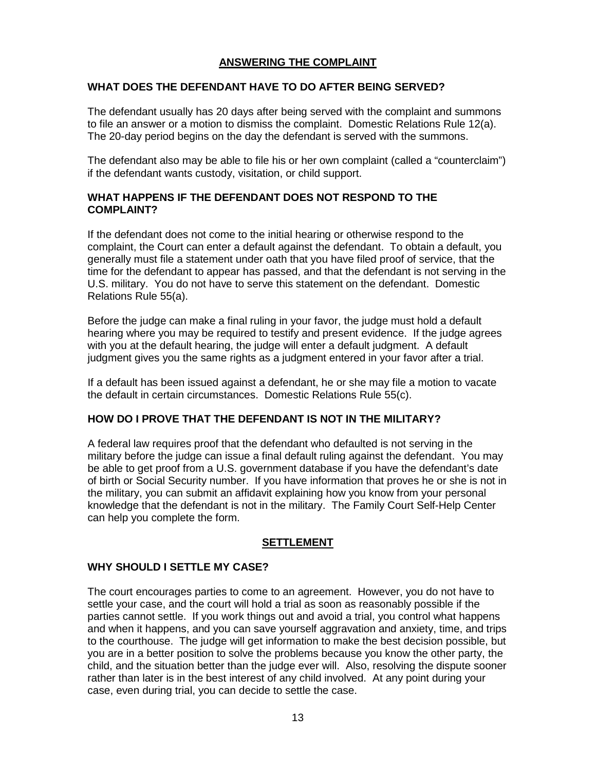### **ANSWERING THE COMPLAINT**

#### **WHAT DOES THE DEFENDANT HAVE TO DO AFTER BEING SERVED?**

The defendant usually has 20 days after being served with the complaint and summons to file an answer or a motion to dismiss the complaint. Domestic Relations Rule 12(a). The 20-day period begins on the day the defendant is served with the summons.

The defendant also may be able to file his or her own complaint (called a "counterclaim") if the defendant wants custody, visitation, or child support.

#### **WHAT HAPPENS IF THE DEFENDANT DOES NOT RESPOND TO THE COMPLAINT?**

If the defendant does not come to the initial hearing or otherwise respond to the complaint, the Court can enter a default against the defendant. To obtain a default, you generally must file a statement under oath that you have filed proof of service, that the time for the defendant to appear has passed, and that the defendant is not serving in the U.S. military. You do not have to serve this statement on the defendant. Domestic Relations Rule 55(a).

Before the judge can make a final ruling in your favor, the judge must hold a default hearing where you may be required to testify and present evidence. If the judge agrees with you at the default hearing, the judge will enter a default judgment. A default judgment gives you the same rights as a judgment entered in your favor after a trial.

If a default has been issued against a defendant, he or she may file a motion to vacate the default in certain circumstances. Domestic Relations Rule 55(c).

#### **HOW DO I PROVE THAT THE DEFENDANT IS NOT IN THE MILITARY?**

A federal law requires proof that the defendant who defaulted is not serving in the military before the judge can issue a final default ruling against the defendant. You may be able to get proof from a U.S. government database if you have the defendant's date of birth or Social Security number. If you have information that proves he or she is not in the military, you can submit an affidavit explaining how you know from your personal knowledge that the defendant is not in the military. The Family Court Self-Help Center can help you complete the form.

### **SETTLEMENT**

### **WHY SHOULD I SETTLE MY CASE?**

The court encourages parties to come to an agreement. However, you do not have to settle your case, and the court will hold a trial as soon as reasonably possible if the parties cannot settle. If you work things out and avoid a trial, you control what happens and when it happens, and you can save yourself aggravation and anxiety, time, and trips to the courthouse. The judge will get information to make the best decision possible, but you are in a better position to solve the problems because you know the other party, the child, and the situation better than the judge ever will. Also, resolving the dispute sooner rather than later is in the best interest of any child involved. At any point during your case, even during trial, you can decide to settle the case.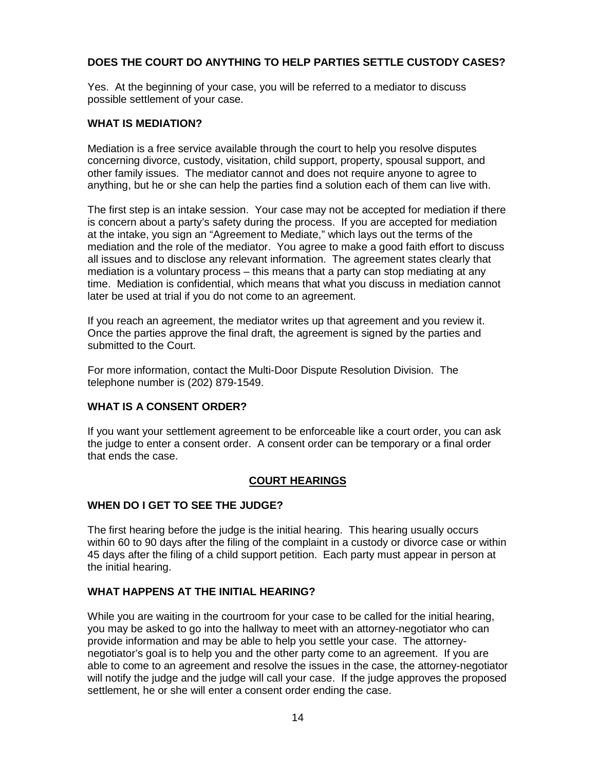### **DOES THE COURT DO ANYTHING TO HELP PARTIES SETTLE CUSTODY CASES?**

Yes. At the beginning of your case, you will be referred to a mediator to discuss possible settlement of your case.

#### **WHAT IS MEDIATION?**

Mediation is a free service available through the court to help you resolve disputes concerning divorce, custody, visitation, child support, property, spousal support, and other family issues. The mediator cannot and does not require anyone to agree to anything, but he or she can help the parties find a solution each of them can live with.

The first step is an intake session. Your case may not be accepted for mediation if there is concern about a party's safety during the process. If you are accepted for mediation at the intake, you sign an "Agreement to Mediate," which lays out the terms of the mediation and the role of the mediator. You agree to make a good faith effort to discuss all issues and to disclose any relevant information. The agreement states clearly that mediation is a voluntary process – this means that a party can stop mediating at any time. Mediation is confidential, which means that what you discuss in mediation cannot later be used at trial if you do not come to an agreement.

If you reach an agreement, the mediator writes up that agreement and you review it. Once the parties approve the final draft, the agreement is signed by the parties and submitted to the Court.

For more information, contact the Multi-Door Dispute Resolution Division. The telephone number is (202) 879-1549.

### **WHAT IS A CONSENT ORDER?**

If you want your settlement agreement to be enforceable like a court order, you can ask the judge to enter a consent order. A consent order can be temporary or a final order that ends the case.

### **COURT HEARINGS**

#### **WHEN DO I GET TO SEE THE JUDGE?**

The first hearing before the judge is the initial hearing. This hearing usually occurs within 60 to 90 days after the filing of the complaint in a custody or divorce case or within 45 days after the filing of a child support petition. Each party must appear in person at the initial hearing.

#### **WHAT HAPPENS AT THE INITIAL HEARING?**

While you are waiting in the courtroom for your case to be called for the initial hearing, you may be asked to go into the hallway to meet with an attorney-negotiator who can provide information and may be able to help you settle your case. The attorneynegotiator's goal is to help you and the other party come to an agreement. If you are able to come to an agreement and resolve the issues in the case, the attorney-negotiator will notify the judge and the judge will call your case. If the judge approves the proposed settlement, he or she will enter a consent order ending the case.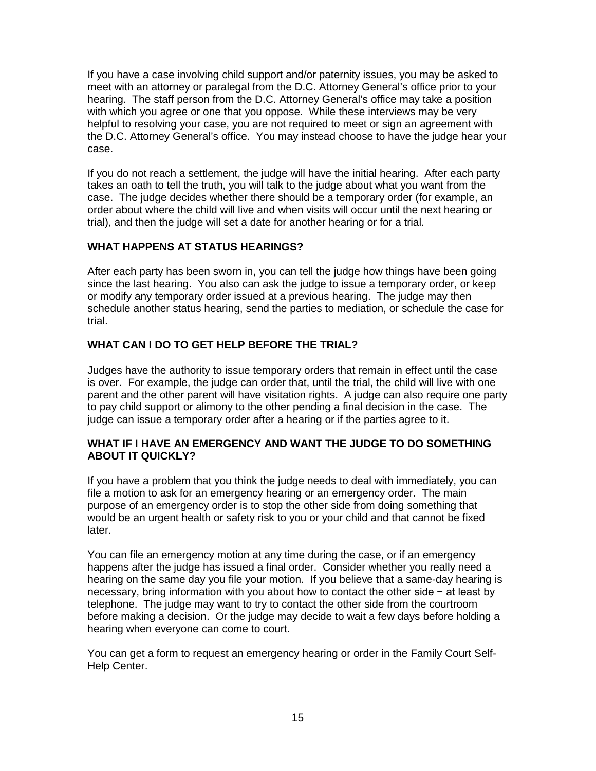If you have a case involving child support and/or paternity issues, you may be asked to meet with an attorney or paralegal from the D.C. Attorney General's office prior to your hearing. The staff person from the D.C. Attorney General's office may take a position with which you agree or one that you oppose. While these interviews may be very helpful to resolving your case, you are not required to meet or sign an agreement with the D.C. Attorney General's office. You may instead choose to have the judge hear your case.

If you do not reach a settlement, the judge will have the initial hearing. After each party takes an oath to tell the truth, you will talk to the judge about what you want from the case. The judge decides whether there should be a temporary order (for example, an order about where the child will live and when visits will occur until the next hearing or trial), and then the judge will set a date for another hearing or for a trial.

### **WHAT HAPPENS AT STATUS HEARINGS?**

After each party has been sworn in, you can tell the judge how things have been going since the last hearing. You also can ask the judge to issue a temporary order, or keep or modify any temporary order issued at a previous hearing. The judge may then schedule another status hearing, send the parties to mediation, or schedule the case for trial.

### **WHAT CAN I DO TO GET HELP BEFORE THE TRIAL?**

Judges have the authority to issue temporary orders that remain in effect until the case is over. For example, the judge can order that, until the trial, the child will live with one parent and the other parent will have visitation rights. A judge can also require one party to pay child support or alimony to the other pending a final decision in the case. The judge can issue a temporary order after a hearing or if the parties agree to it.

### **WHAT IF I HAVE AN EMERGENCY AND WANT THE JUDGE TO DO SOMETHING ABOUT IT QUICKLY?**

If you have a problem that you think the judge needs to deal with immediately, you can file a motion to ask for an emergency hearing or an emergency order. The main purpose of an emergency order is to stop the other side from doing something that would be an urgent health or safety risk to you or your child and that cannot be fixed later.

You can file an emergency motion at any time during the case, or if an emergency happens after the judge has issued a final order. Consider whether you really need a hearing on the same day you file your motion. If you believe that a same-day hearing is necessary, bring information with you about how to contact the other side − at least by telephone. The judge may want to try to contact the other side from the courtroom before making a decision. Or the judge may decide to wait a few days before holding a hearing when everyone can come to court.

You can get a form to request an emergency hearing or order in the Family Court Self-Help Center.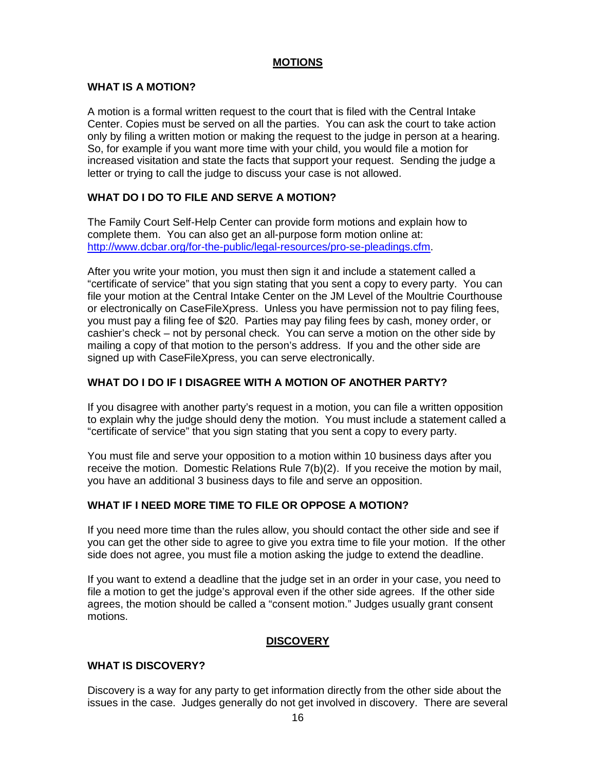#### **MOTIONS**

### **WHAT IS A MOTION?**

A motion is a formal written request to the court that is filed with the Central Intake Center. Copies must be served on all the parties. You can ask the court to take action only by filing a written motion or making the request to the judge in person at a hearing. So, for example if you want more time with your child, you would file a motion for increased visitation and state the facts that support your request. Sending the judge a letter or trying to call the judge to discuss your case is not allowed.

### **WHAT DO I DO TO FILE AND SERVE A MOTION?**

The Family Court Self-Help Center can provide form motions and explain how to complete them. You can also get an all-purpose form motion online at: [http://www.dcbar.org/for-the-public/legal-resources/pro-se-pleadings.cfm.](http://www.dcbar.org/for-the-public/legal-resources/pro-se-pleadings.cfm)

After you write your motion, you must then sign it and include a statement called a "certificate of service" that you sign stating that you sent a copy to every party. You can file your motion at the Central Intake Center on the JM Level of the Moultrie Courthouse or electronically on CaseFileXpress. Unless you have permission not to pay filing fees, you must pay a filing fee of \$20. Parties may pay filing fees by cash, money order, or cashier's check – not by personal check. You can serve a motion on the other side by mailing a copy of that motion to the person's address. If you and the other side are signed up with CaseFileXpress, you can serve electronically.

### **WHAT DO I DO IF I DISAGREE WITH A MOTION OF ANOTHER PARTY?**

If you disagree with another party's request in a motion, you can file a written opposition to explain why the judge should deny the motion. You must include a statement called a "certificate of service" that you sign stating that you sent a copy to every party.

You must file and serve your opposition to a motion within 10 business days after you receive the motion. Domestic Relations Rule 7(b)(2). If you receive the motion by mail, you have an additional 3 business days to file and serve an opposition.

### **WHAT IF I NEED MORE TIME TO FILE OR OPPOSE A MOTION?**

If you need more time than the rules allow, you should contact the other side and see if you can get the other side to agree to give you extra time to file your motion. If the other side does not agree, you must file a motion asking the judge to extend the deadline.

If you want to extend a deadline that the judge set in an order in your case, you need to file a motion to get the judge's approval even if the other side agrees. If the other side agrees, the motion should be called a "consent motion." Judges usually grant consent motions.

### **DISCOVERY**

### **WHAT IS DISCOVERY?**

Discovery is a way for any party to get information directly from the other side about the issues in the case. Judges generally do not get involved in discovery. There are several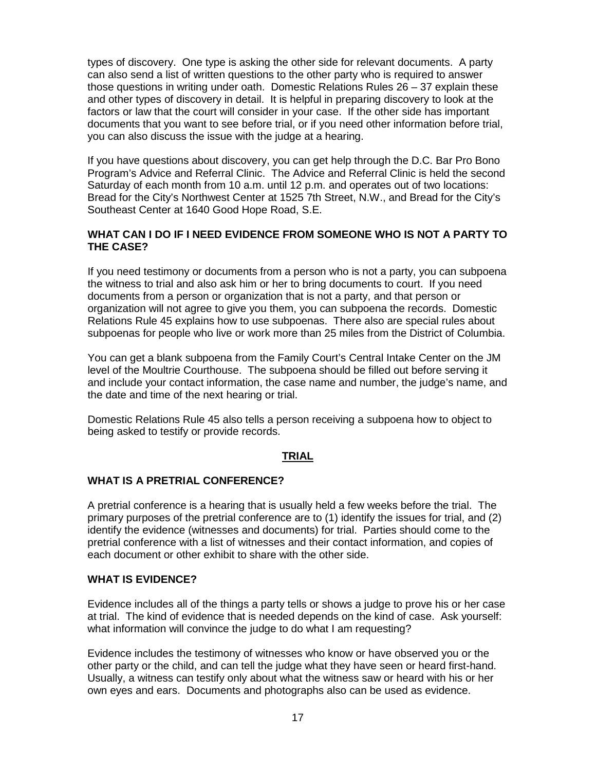types of discovery. One type is asking the other side for relevant documents. A party can also send a list of written questions to the other party who is required to answer those questions in writing under oath. Domestic Relations Rules 26 – 37 explain these and other types of discovery in detail. It is helpful in preparing discovery to look at the factors or law that the court will consider in your case. If the other side has important documents that you want to see before trial, or if you need other information before trial, you can also discuss the issue with the judge at a hearing.

If you have questions about discovery, you can get help through the D.C. Bar Pro Bono Program's Advice and Referral Clinic. The Advice and Referral Clinic is held the second Saturday of each month from 10 a.m. until 12 p.m. and operates out of two locations: Bread for the City's Northwest Center at 1525 7th Street, N.W., and Bread for the City's Southeast Center at 1640 Good Hope Road, S.E.

#### **WHAT CAN I DO IF I NEED EVIDENCE FROM SOMEONE WHO IS NOT A PARTY TO THE CASE?**

If you need testimony or documents from a person who is not a party, you can subpoena the witness to trial and also ask him or her to bring documents to court. If you need documents from a person or organization that is not a party, and that person or organization will not agree to give you them, you can subpoena the records. Domestic Relations Rule 45 explains how to use subpoenas. There also are special rules about subpoenas for people who live or work more than 25 miles from the District of Columbia.

You can get a blank subpoena from the Family Court's Central Intake Center on the JM level of the Moultrie Courthouse. The subpoena should be filled out before serving it and include your contact information, the case name and number, the judge's name, and the date and time of the next hearing or trial.

Domestic Relations Rule 45 also tells a person receiving a subpoena how to object to being asked to testify or provide records.

#### **TRIAL**

#### **WHAT IS A PRETRIAL CONFERENCE?**

A pretrial conference is a hearing that is usually held a few weeks before the trial. The primary purposes of the pretrial conference are to (1) identify the issues for trial, and (2) identify the evidence (witnesses and documents) for trial. Parties should come to the pretrial conference with a list of witnesses and their contact information, and copies of each document or other exhibit to share with the other side.

#### **WHAT IS EVIDENCE?**

Evidence includes all of the things a party tells or shows a judge to prove his or her case at trial. The kind of evidence that is needed depends on the kind of case. Ask yourself: what information will convince the judge to do what I am requesting?

Evidence includes the testimony of witnesses who know or have observed you or the other party or the child, and can tell the judge what they have seen or heard first-hand. Usually, a witness can testify only about what the witness saw or heard with his or her own eyes and ears. Documents and photographs also can be used as evidence.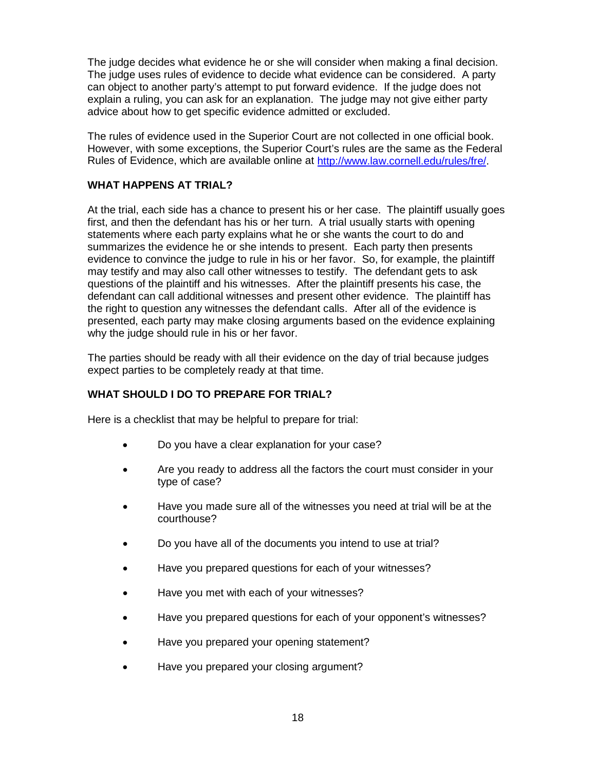The judge decides what evidence he or she will consider when making a final decision. The judge uses rules of evidence to decide what evidence can be considered. A party can object to another party's attempt to put forward evidence. If the judge does not explain a ruling, you can ask for an explanation. The judge may not give either party advice about how to get specific evidence admitted or excluded.

The rules of evidence used in the Superior Court are not collected in one official book. However, with some exceptions, the Superior Court's rules are the same as the Federal Rules of Evidence, which are available online at [http://www.law.cornell.edu/rules/fre/.](http://www.law.cornell.edu/rules/fre/)

### **WHAT HAPPENS AT TRIAL?**

At the trial, each side has a chance to present his or her case. The plaintiff usually goes first, and then the defendant has his or her turn. A trial usually starts with opening statements where each party explains what he or she wants the court to do and summarizes the evidence he or she intends to present. Each party then presents evidence to convince the judge to rule in his or her favor. So, for example, the plaintiff may testify and may also call other witnesses to testify. The defendant gets to ask questions of the plaintiff and his witnesses. After the plaintiff presents his case, the defendant can call additional witnesses and present other evidence. The plaintiff has the right to question any witnesses the defendant calls. After all of the evidence is presented, each party may make closing arguments based on the evidence explaining why the judge should rule in his or her favor.

The parties should be ready with all their evidence on the day of trial because judges expect parties to be completely ready at that time.

### **WHAT SHOULD I DO TO PREPARE FOR TRIAL?**

Here is a checklist that may be helpful to prepare for trial:

- Do you have a clear explanation for your case?
- Are you ready to address all the factors the court must consider in your type of case?
- Have you made sure all of the witnesses you need at trial will be at the courthouse?
- Do you have all of the documents you intend to use at trial?
- Have you prepared questions for each of your witnesses?
- Have you met with each of your witnesses?
- Have you prepared questions for each of your opponent's witnesses?
- Have you prepared your opening statement?
- Have you prepared your closing argument?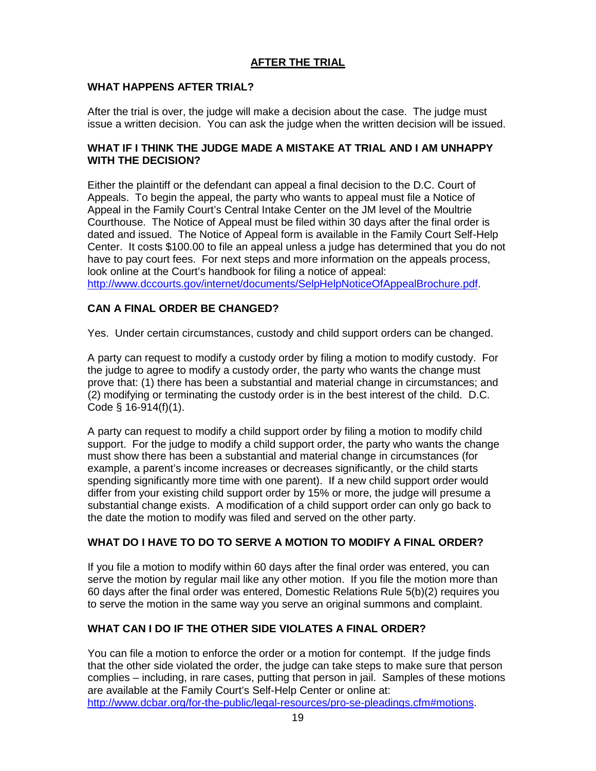### **AFTER THE TRIAL**

### **WHAT HAPPENS AFTER TRIAL?**

After the trial is over, the judge will make a decision about the case. The judge must issue a written decision. You can ask the judge when the written decision will be issued.

### **WHAT IF I THINK THE JUDGE MADE A MISTAKE AT TRIAL AND I AM UNHAPPY WITH THE DECISION?**

Either the plaintiff or the defendant can appeal a final decision to the D.C. Court of Appeals. To begin the appeal, the party who wants to appeal must file a Notice of Appeal in the Family Court's Central Intake Center on the JM level of the Moultrie Courthouse. The Notice of Appeal must be filed within 30 days after the final order is dated and issued. The Notice of Appeal form is available in the Family Court Self-Help Center. It costs \$100.00 to file an appeal unless a judge has determined that you do not have to pay court fees. For next steps and more information on the appeals process, look online at the Court's handbook for filing a notice of appeal:

[http://www.dccourts.gov/internet/documents/SelpHelpNoticeOfAppealBrochure.pdf.](http://www.dccourts.gov/internet/documents/SelpHelpNoticeOfAppealBrochure.pdf)

### **CAN A FINAL ORDER BE CHANGED?**

Yes. Under certain circumstances, custody and child support orders can be changed.

A party can request to modify a custody order by filing a motion to modify custody. For the judge to agree to modify a custody order, the party who wants the change must prove that: (1) there has been a substantial and material change in circumstances; and (2) modifying or terminating the custody order is in the best interest of the child. D.C. Code § 16-914(f)(1).

A party can request to modify a child support order by filing a motion to modify child support. For the judge to modify a child support order, the party who wants the change must show there has been a substantial and material change in circumstances (for example, a parent's income increases or decreases significantly, or the child starts spending significantly more time with one parent). If a new child support order would differ from your existing child support order by 15% or more, the judge will presume a substantial change exists. A modification of a child support order can only go back to the date the motion to modify was filed and served on the other party.

### **WHAT DO I HAVE TO DO TO SERVE A MOTION TO MODIFY A FINAL ORDER?**

If you file a motion to modify within 60 days after the final order was entered, you can serve the motion by regular mail like any other motion. If you file the motion more than 60 days after the final order was entered, Domestic Relations Rule 5(b)(2) requires you to serve the motion in the same way you serve an original summons and complaint.

## **WHAT CAN I DO IF THE OTHER SIDE VIOLATES A FINAL ORDER?**

You can file a motion to enforce the order or a motion for contempt. If the judge finds that the other side violated the order, the judge can take steps to make sure that person complies – including, in rare cases, putting that person in jail. Samples of these motions are available at the Family Court's Self-Help Center or online at: [http://www.dcbar.org/for-the-public/legal-resources/pro-se-pleadings.cfm#motions.](http://www.dcbar.org/for-the-public/legal-resources/pro-se-pleadings.cfm#motions)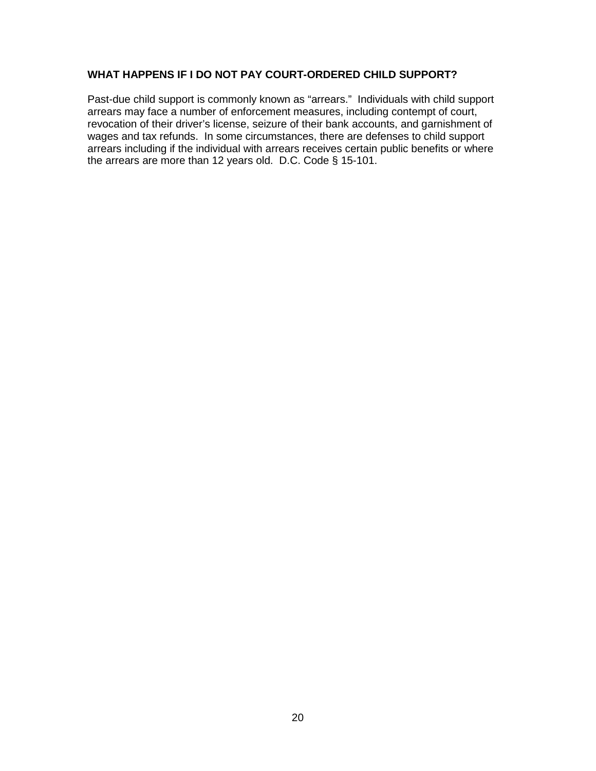### **WHAT HAPPENS IF I DO NOT PAY COURT-ORDERED CHILD SUPPORT?**

Past-due child support is commonly known as "arrears." Individuals with child support arrears may face a number of enforcement measures, including contempt of court, revocation of their driver's license, seizure of their bank accounts, and garnishment of wages and tax refunds. In some circumstances, there are defenses to child support arrears including if the individual with arrears receives certain public benefits or where the arrears are more than 12 years old. D.C. Code § 15-101.